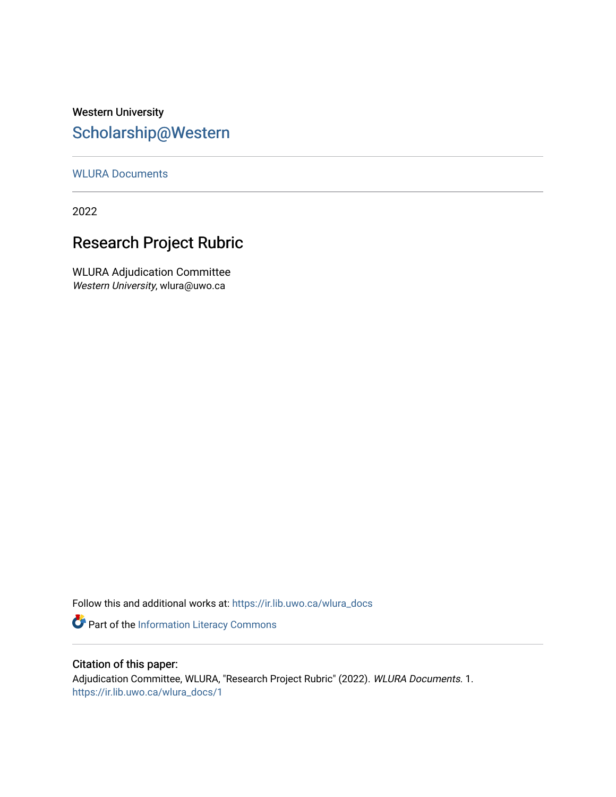## Western University [Scholarship@Western](https://ir.lib.uwo.ca/)

#### [WLURA Documents](https://ir.lib.uwo.ca/wlura_docs)

2022

## Research Project Rubric

WLURA Adjudication Committee Western University, wlura@uwo.ca

Follow this and additional works at: [https://ir.lib.uwo.ca/wlura\\_docs](https://ir.lib.uwo.ca/wlura_docs?utm_source=ir.lib.uwo.ca%2Fwlura_docs%2F1&utm_medium=PDF&utm_campaign=PDFCoverPages) 

Part of the [Information Literacy Commons](http://network.bepress.com/hgg/discipline/1243?utm_source=ir.lib.uwo.ca%2Fwlura_docs%2F1&utm_medium=PDF&utm_campaign=PDFCoverPages)

#### Citation of this paper:

Adjudication Committee, WLURA, "Research Project Rubric" (2022). WLURA Documents. 1. [https://ir.lib.uwo.ca/wlura\\_docs/1](https://ir.lib.uwo.ca/wlura_docs/1?utm_source=ir.lib.uwo.ca%2Fwlura_docs%2F1&utm_medium=PDF&utm_campaign=PDFCoverPages)